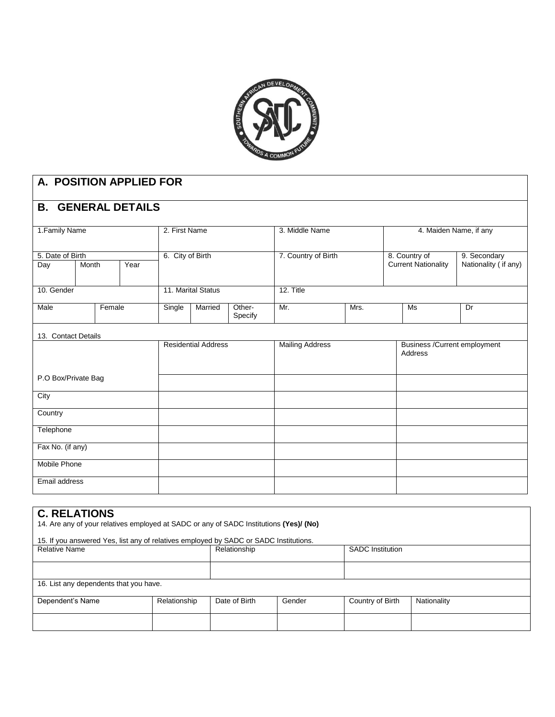

| A. POSITION APPLIED FOR   |       |               |                            |                |                        |                   |                        |                               |                            |                      |
|---------------------------|-------|---------------|----------------------------|----------------|------------------------|-------------------|------------------------|-------------------------------|----------------------------|----------------------|
| <b>B. GENERAL DETAILS</b> |       |               |                            |                |                        |                   |                        |                               |                            |                      |
| 1. Family Name            |       | 2. First Name |                            | 3. Middle Name |                        |                   | 4. Maiden Name, if any |                               |                            |                      |
| 5. Date of Birth          |       |               |                            |                | 6. City of Birth       |                   | 7. Country of Birth    |                               | 8. Country of              | 9. Secondary         |
| Day                       | Month |               | Year                       |                |                        |                   |                        |                               | <b>Current Nationality</b> | Nationality (if any) |
| 10. Gender                |       |               |                            |                | 11. Marital Status     |                   | 12. Title              |                               |                            |                      |
| Male                      |       | Female        |                            | Single         | Married                | Other-<br>Specify | Mr.                    | Mrs.                          |                            | Dr                   |
| 13. Contact Details       |       |               |                            |                |                        |                   |                        |                               |                            |                      |
|                           |       |               | <b>Residential Address</b> |                | <b>Mailing Address</b> |                   | Address                | Business / Current employment |                            |                      |
| P.O Box/Private Bag       |       |               |                            |                |                        |                   |                        |                               |                            |                      |
| City                      |       |               |                            |                |                        |                   |                        |                               |                            |                      |
| Country                   |       |               |                            |                |                        |                   |                        |                               |                            |                      |
| Telephone                 |       |               |                            |                |                        |                   |                        |                               |                            |                      |
| Fax No. (if any)          |       |               |                            |                |                        |                   |                        |                               |                            |                      |
| <b>Mobile Phone</b>       |       |               |                            |                |                        |                   |                        |                               |                            |                      |
| Email address             |       |               |                            |                |                        |                   |                        |                               |                            |                      |

## **C. RELATIONS**

14. Are any of your relatives employed at SADC or any of SADC Institutions **(Yes)/ (No)**

#### 15. If you answered Yes, list any of relatives employed by SADC or SADC Institutions.

| <b>Relative Name</b>                   |              | Relationship  |        | <b>SADC</b> Institution |             |  |
|----------------------------------------|--------------|---------------|--------|-------------------------|-------------|--|
|                                        |              |               |        |                         |             |  |
| 16. List any dependents that you have. |              |               |        |                         |             |  |
| Dependent's Name                       | Relationship | Date of Birth | Gender | Country of Birth        | Nationality |  |
|                                        |              |               |        |                         |             |  |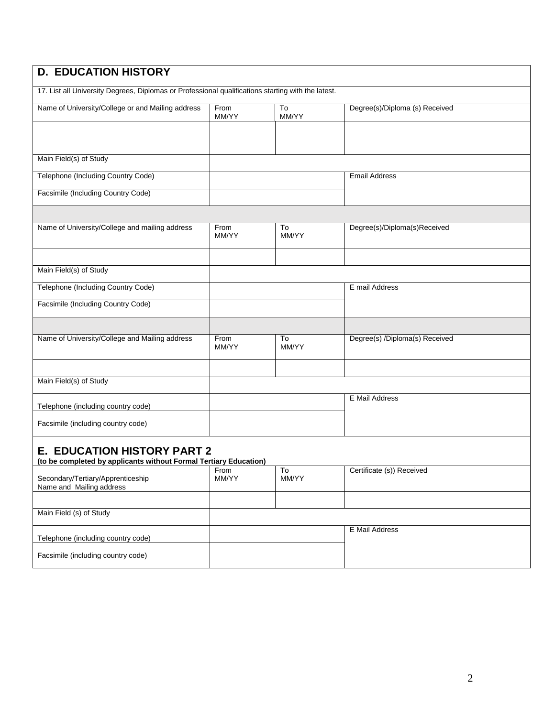| <b>D. EDUCATION HISTORY</b>                                                                             |               |             |                                |
|---------------------------------------------------------------------------------------------------------|---------------|-------------|--------------------------------|
| 17. List all University Degrees, Diplomas or Professional qualifications starting with the latest.      |               |             |                                |
| Name of University/College or and Mailing address                                                       | From<br>MM/YY | To<br>MM/YY | Degree(s)/Diploma (s) Received |
|                                                                                                         |               |             |                                |
| Main Field(s) of Study                                                                                  |               |             |                                |
| Telephone (Including Country Code)                                                                      |               |             | <b>Email Address</b>           |
| Facsimile (Including Country Code)                                                                      |               |             |                                |
|                                                                                                         |               |             |                                |
| Name of University/College and mailing address                                                          | From<br>MM/YY | To<br>MM/YY | Degree(s)/Diploma(s)Received   |
|                                                                                                         |               |             |                                |
| Main Field(s) of Study                                                                                  |               |             |                                |
| Telephone (Including Country Code)                                                                      |               |             | E mail Address                 |
| Facsimile (Including Country Code)                                                                      |               |             |                                |
|                                                                                                         |               |             |                                |
| Name of University/College and Mailing address                                                          | From<br>MM/YY | To<br>MM/YY | Degree(s) /Diploma(s) Received |
|                                                                                                         |               |             |                                |
| Main Field(s) of Study                                                                                  |               |             |                                |
| Telephone (including country code)                                                                      |               |             | E Mail Address                 |
| Facsimile (including country code)                                                                      |               |             |                                |
| <b>E. EDUCATION HISTORY PART 2</b><br>(to be completed by applicants without Formal Tertiary Education) |               |             |                                |
| Secondary/Tertiary/Apprenticeship<br>Name and Mailing address                                           | From<br>MM/YY | To<br>MM/YY | Certificate (s)) Received      |
|                                                                                                         |               |             |                                |
| Main Field (s) of Study                                                                                 |               |             |                                |
| Telephone (including country code)                                                                      |               |             | E Mail Address                 |
| Facsimile (including country code)                                                                      |               |             |                                |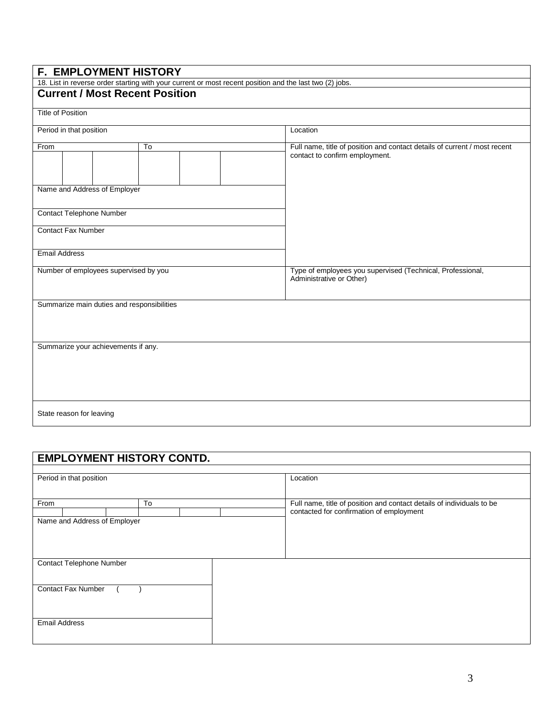## **F. EMPLOYMENT HISTORY**

18. List in reverse order starting with your current or most recent position and the last two (2) jobs.

## **Current / Most Recent Position**

Title of Position

| Period in that position               |                           |                                            |  |  |  | Location                                                                               |  |  |  |
|---------------------------------------|---------------------------|--------------------------------------------|--|--|--|----------------------------------------------------------------------------------------|--|--|--|
| To<br>From                            |                           |                                            |  |  |  | Full name, title of position and contact details of current / most recent              |  |  |  |
|                                       |                           |                                            |  |  |  | contact to confirm employment.                                                         |  |  |  |
|                                       |                           | Name and Address of Employer               |  |  |  |                                                                                        |  |  |  |
|                                       |                           | Contact Telephone Number                   |  |  |  |                                                                                        |  |  |  |
|                                       | <b>Contact Fax Number</b> |                                            |  |  |  |                                                                                        |  |  |  |
| <b>Email Address</b>                  |                           |                                            |  |  |  |                                                                                        |  |  |  |
| Number of employees supervised by you |                           |                                            |  |  |  | Type of employees you supervised (Technical, Professional,<br>Administrative or Other) |  |  |  |
|                                       |                           | Summarize main duties and responsibilities |  |  |  |                                                                                        |  |  |  |
|                                       |                           | Summarize your achievements if any.        |  |  |  |                                                                                        |  |  |  |
|                                       | State reason for leaving  |                                            |  |  |  |                                                                                        |  |  |  |

| <b>EMPLOYMENT HISTORY CONTD.</b>     |    |                                                                                                                   |  |  |  |
|--------------------------------------|----|-------------------------------------------------------------------------------------------------------------------|--|--|--|
| Period in that position              |    | Location                                                                                                          |  |  |  |
| From<br>Name and Address of Employer | To | Full name, title of position and contact details of individuals to be<br>contacted for confirmation of employment |  |  |  |
| <b>Contact Telephone Number</b>      |    |                                                                                                                   |  |  |  |
| <b>Contact Fax Number</b>            |    |                                                                                                                   |  |  |  |
| <b>Email Address</b>                 |    |                                                                                                                   |  |  |  |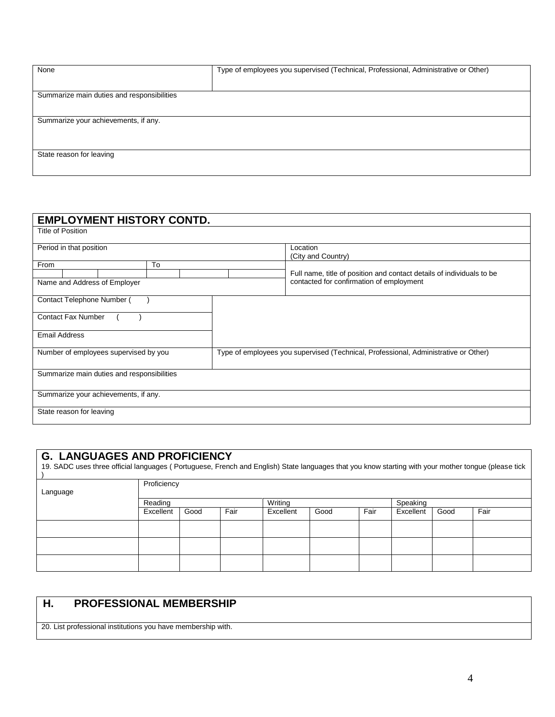| None                                       | Type of employees you supervised (Technical, Professional, Administrative or Other) |  |  |  |  |  |  |
|--------------------------------------------|-------------------------------------------------------------------------------------|--|--|--|--|--|--|
|                                            |                                                                                     |  |  |  |  |  |  |
| Summarize main duties and responsibilities |                                                                                     |  |  |  |  |  |  |
|                                            |                                                                                     |  |  |  |  |  |  |
| Summarize your achievements, if any.       |                                                                                     |  |  |  |  |  |  |
|                                            |                                                                                     |  |  |  |  |  |  |
| State reason for leaving                   |                                                                                     |  |  |  |  |  |  |
|                                            |                                                                                     |  |  |  |  |  |  |
|                                            |                                                                                     |  |  |  |  |  |  |

| <b>EMPLOYMENT HISTORY CONTD.</b>           |    |                                                                                     |  |  |  |
|--------------------------------------------|----|-------------------------------------------------------------------------------------|--|--|--|
| <b>Title of Position</b>                   |    |                                                                                     |  |  |  |
| Period in that position                    |    | Location<br>(City and Country)                                                      |  |  |  |
| From                                       | To |                                                                                     |  |  |  |
|                                            |    | Full name, title of position and contact details of individuals to be               |  |  |  |
| Name and Address of Employer               |    | contacted for confirmation of employment                                            |  |  |  |
| Contact Telephone Number (                 |    |                                                                                     |  |  |  |
| <b>Contact Fax Number</b>                  |    |                                                                                     |  |  |  |
|                                            |    |                                                                                     |  |  |  |
| <b>Email Address</b>                       |    |                                                                                     |  |  |  |
| Number of employees supervised by you      |    | Type of employees you supervised (Technical, Professional, Administrative or Other) |  |  |  |
|                                            |    |                                                                                     |  |  |  |
| Summarize main duties and responsibilities |    |                                                                                     |  |  |  |
|                                            |    |                                                                                     |  |  |  |
| Summarize your achievements, if any.       |    |                                                                                     |  |  |  |
| State reason for leaving                   |    |                                                                                     |  |  |  |
|                                            |    |                                                                                     |  |  |  |

# **G. LANGUAGES AND PROFICIENCY**

| 19. SADC uses three official languages (Portuguese, French and English) State languages that you know starting with your mother tongue (please tick | Proficiency                    |      |      |           |      |      |           |      |      |
|-----------------------------------------------------------------------------------------------------------------------------------------------------|--------------------------------|------|------|-----------|------|------|-----------|------|------|
| Language                                                                                                                                            |                                |      |      |           |      |      |           |      |      |
|                                                                                                                                                     | Writing<br>Speaking<br>Reading |      |      |           |      |      |           |      |      |
|                                                                                                                                                     | Excellent                      | Good | Fair | Excellent | Good | Fair | Excellent | Good | Fair |
|                                                                                                                                                     |                                |      |      |           |      |      |           |      |      |
|                                                                                                                                                     |                                |      |      |           |      |      |           |      |      |
|                                                                                                                                                     |                                |      |      |           |      |      |           |      |      |

# **H. PROFESSIONAL MEMBERSHIP**

20. List professional institutions you have membership with.